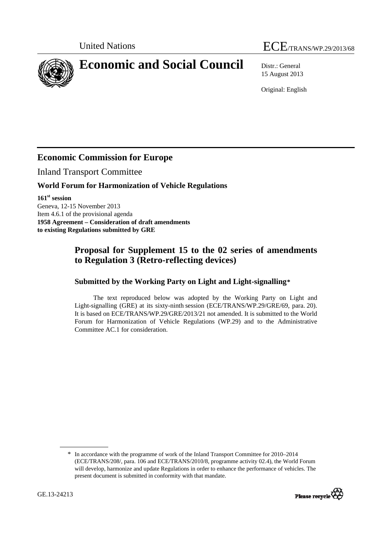# United Nations ECE/TRANS/WP.29/2013/68

<span id="page-0-0"></span>**Economic and Social Council** Distr.: General

15 August 2013

Original: English

## **Economic Commission for Europe**

Inland Transport Committee

#### **World Forum for Harmonization of Vehicle Regulations**

**161st session**  Geneva, 12-15 November 2013 Item 4.6.1 of the provisional agenda **1958 Agreement – Consideration of draft amendments to existing Regulations submitted by GRE** 

### **Proposal for Supplement 15 to the 02 series of amendments to Regulation 3 (Retro-reflecting devices)**

#### **Submitted by the Working Party on Light and Light-signalling[\\*](#page-0-0)**

The text reproduced below was adopted by the Working Party on Light and Light-signalling (GRE) at its sixty-ninth session (ECE/TRANS/WP.29/GRE/69, para. 20). It is based on ECE/TRANS/WP.29/GRE/2013/21 not amended. It is submitted to the World Forum for Harmonization of Vehicle Regulations (WP.29) and to the Administrative Committee AC.1 for consideration.

<sup>\*</sup> In accordance with the programme of work of the Inland Transport Committee for 2010–2014 (ECE/TRANS/208/, para. 106 and ECE/TRANS/2010/8, programme activity 02.4), the World Forum will develop, harmonize and update Regulations in order to enhance the performance of vehicles. The present document is submitted in conformity with that mandate.

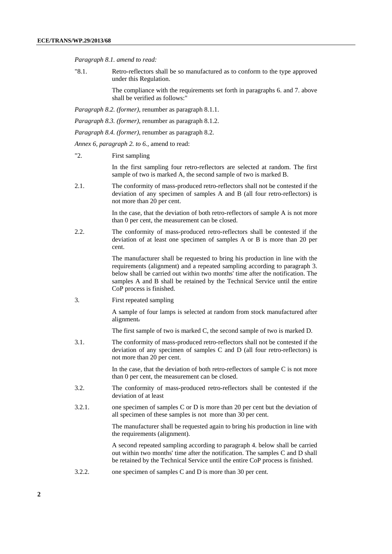*Paragraph 8.1. amend to read:* 

"8.1. Retro-reflectors shall be so manufactured as to conform to the type approved under this Regulation.

> The compliance with the requirements set forth in paragraphs 6. and 7. above shall be verified as follows:"

*Paragraph 8.2. (former)*, renumber as paragraph 8.1.1.

- *Paragraph 8.3. (former)*, renumber as paragraph 8.1.2.
- *Paragraph 8.4. (former)*, renumber as paragraph 8.2.

*Annex 6, paragraph 2. to 6.*, amend to read:

"2. First sampling

In the first sampling four retro-reflectors are selected at random. The first sample of two is marked A, the second sample of two is marked B.

2.1. The conformity of mass-produced retro-reflectors shall not be contested if the deviation of any specimen of samples A and B (all four retro-reflectors) is not more than 20 per cent.

> In the case, that the deviation of both retro-reflectors of sample A is not more than 0 per cent, the measurement can be closed.

2.2. The conformity of mass-produced retro-reflectors shall be contested if the deviation of at least one specimen of samples A or B is more than 20 per cent.

> The manufacturer shall be requested to bring his production in line with the requirements (alignment) and a repeated sampling according to paragraph 3. below shall be carried out within two months' time after the notification. The samples A and B shall be retained by the Technical Service until the entire CoP process is finished.

3. First repeated sampling

A sample of four lamps is selected at random from stock manufactured after alignment.

The first sample of two is marked C, the second sample of two is marked D.

3.1. The conformity of mass-produced retro-reflectors shall not be contested if the deviation of any specimen of samples C and D (all four retro-reflectors) is not more than 20 per cent.

> In the case, that the deviation of both retro-reflectors of sample C is not more than 0 per cent, the measurement can be closed.

- 3.2. The conformity of mass-produced retro-reflectors shall be contested if the deviation of at least
- 3.2.1. one specimen of samples C or D is more than 20 per cent but the deviation of all specimen of these samples is not more than 30 per cent.

The manufacturer shall be requested again to bring his production in line with the requirements (alignment).

A second repeated sampling according to paragraph 4. below shall be carried out within two months' time after the notification. The samples C and D shall be retained by the Technical Service until the entire CoP process is finished.

3.2.2. one specimen of samples C and D is more than 30 per cent.